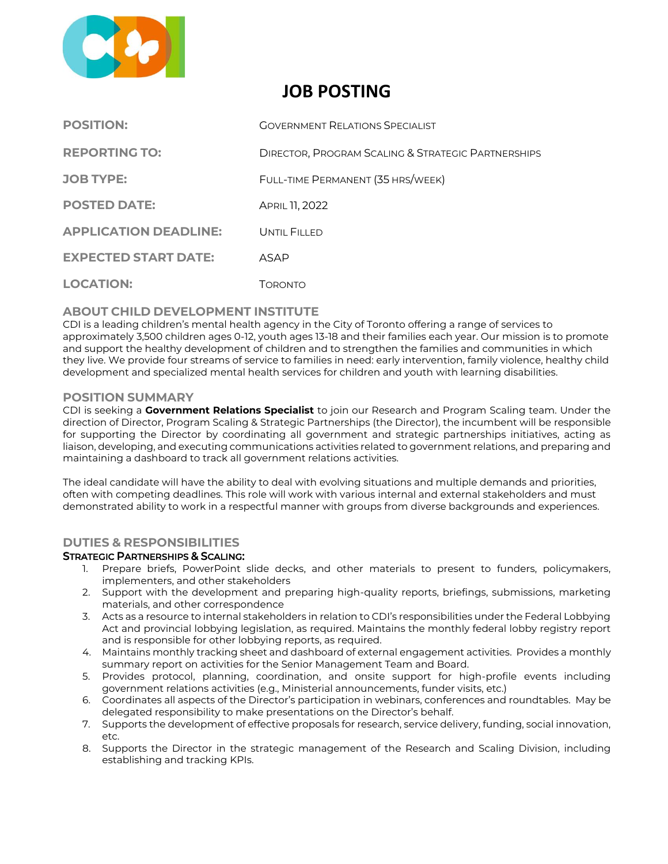

# **JOB POSTING**

| <b>POSITION:</b>             | <b>GOVERNMENT RELATIONS SPECIALIST</b>                        |
|------------------------------|---------------------------------------------------------------|
| <b>REPORTING TO:</b>         | <b>DIRECTOR, PROGRAM SCALING &amp; STRATEGIC PARTNERSHIPS</b> |
| <b>JOB TYPE:</b>             | FULL-TIME PERMANENT (35 HRS/WEEK)                             |
| <b>POSTED DATE:</b>          | APRIL 11, 2022                                                |
| <b>APPLICATION DEADLINE:</b> | UNTIL FILLED                                                  |
| <b>EXPECTED START DATE:</b>  | ASAP                                                          |
| <b>LOCATION:</b>             | Toronto                                                       |

## **ABOUT CHILD DEVELOPMENT INSTITUTE**

CDI is a leading children's mental health agency in the City of Toronto offering a range of services to approximately 3,500 children ages 0‐12, youth ages 13-18 and their families each year. Our mission is to promote and support the healthy development of children and to strengthen the families and communities in which they live. We provide four streams of service to families in need: early intervention, family violence, healthy child development and specialized mental health services for children and youth with learning disabilities.

## **POSITION SUMMARY**

CDI is seeking a **Government Relations Specialist** to join our Research and Program Scaling team. Under the direction of Director, Program Scaling & Strategic Partnerships (the Director), the incumbent will be responsible for supporting the Director by coordinating all government and strategic partnerships initiatives, acting as liaison, developing, and executing communications activities related to government relations, and preparing and maintaining a dashboard to track all government relations activities.

The ideal candidate will have the ability to deal with evolving situations and multiple demands and priorities, often with competing deadlines. This role will work with various internal and external stakeholders and must demonstrated ability to work in a respectful manner with groups from diverse backgrounds and experiences.

# **DUTIES & RESPONSIBILITIES**

#### STRATEGIC PARTNERSHIPS & SCALING:

- 1. Prepare briefs, PowerPoint slide decks, and other materials to present to funders, policymakers, implementers, and other stakeholders
- 2. Support with the development and preparing high-quality reports, briefings, submissions, marketing materials, and other correspondence
- 3. Acts as a resource to internal stakeholders in relation to CDI's responsibilities under the Federal Lobbying Act and provincial lobbying legislation, as required. Maintains the monthly federal lobby registry report and is responsible for other lobbying reports, as required.
- 4. Maintains monthly tracking sheet and dashboard of external engagement activities. Provides a monthly summary report on activities for the Senior Management Team and Board.
- 5. Provides protocol, planning, coordination, and onsite support for high-profile events including government relations activities (e.g., Ministerial announcements, funder visits, etc.)
- 6. Coordinates all aspects of the Director's participation in webinars, conferences and roundtables. May be delegated responsibility to make presentations on the Director's behalf.
- 7. Supports the development of effective proposals for research, service delivery, funding, social innovation,  $are$
- 8. Supports the Director in the strategic management of the Research and Scaling Division, including establishing and tracking KPIs.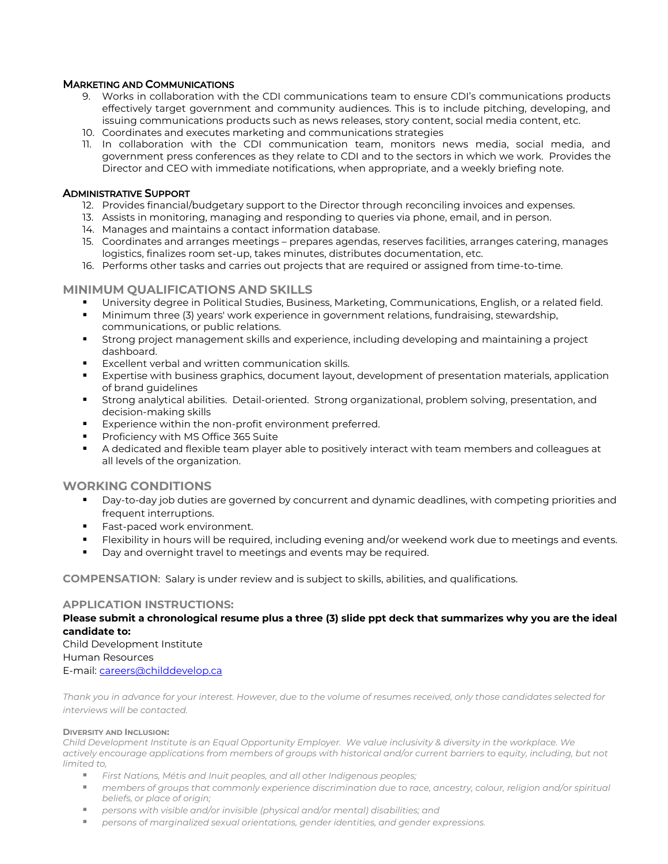## MARKETING AND COMMUNICATIONS

- 9. Works in collaboration with the CDI communications team to ensure CDI's communications products effectively target government and community audiences. This is to include pitching, developing, and issuing communications products such as news releases, story content, social media content, etc.
- 10. Coordinates and executes marketing and communications strategies
- 11. In collaboration with the CDI communication team, monitors news media, social media, and government press conferences as they relate to CDI and to the sectors in which we work. Provides the Director and CEO with immediate notifications, when appropriate, and a weekly briefing note.

#### ADMINISTRATIVE SUPPORT

- 12. Provides financial/budgetary support to the Director through reconciling invoices and expenses.
- 13. Assists in monitoring, managing and responding to queries via phone, email, and in person.
- 14. Manages and maintains a contact information database.
- 15. Coordinates and arranges meetings prepares agendas, reserves facilities, arranges catering, manages logistics, finalizes room set-up, takes minutes, distributes documentation, etc.
- 16. Performs other tasks and carries out projects that are required or assigned from time-to-time.

#### **MINIMUM QUALIFICATIONS AND SKILLS**

- University degree in Political Studies, Business, Marketing, Communications, English, or a related field.
- **■** Minimum three (3) years' work experience in government relations, fundraising, stewardship, communications, or public relations.
- Strong project management skills and experience, including developing and maintaining a project dashboard.
- Excellent verbal and written communication skills.
- Expertise with business graphics, document layout, development of presentation materials, application of brand guidelines
- Strong analytical abilities. Detail-oriented. Strong organizational, problem solving, presentation, and decision-making skills
- Experience within the non-profit environment preferred.
- Proficiency with MS Office 365 Suite
- A dedicated and flexible team player able to positively interact with team members and colleagues at all levels of the organization.

#### **WORKING CONDITIONS**

- **•** Day-to-day job duties are governed by concurrent and dynamic deadlines, with competing priorities and frequent interruptions.
- Fast-paced work environment.
- **•** Flexibility in hours will be required, including evening and/or weekend work due to meetings and events.
- Day and overnight travel to meetings and events may be required.

**COMPENSATION**: Salary is under review and is subject to skills, abilities, and qualifications.

#### **APPLICATION INSTRUCTIONS:**

**Please submit a chronological resume plus a three (3) slide ppt deck that summarizes why you are the ideal candidate to:**

#### Child Development Institute Human Resources E-mail: [careers@childdevelop.ca](mailto:careers@childdevelop.ca)

*Thank you in advance for your interest. However, due to the volume of resumes received, only those candidates selected for interviews will be contacted.* 

#### **DIVERSITY AND INCLUSION:**

*Child Development Institute is an Equal Opportunity Employer. We value inclusivity & diversity in the workplace. We*  actively encourage applications from members of groups with historical and/or current barriers to equity, including, but not *limited to,*

- *First Nations, Métis and Inuit peoples, and all other Indigenous peoples;*
- members of groups that commonly experience discrimination due to race, ancestry, colour, religion and/or spiritual *beliefs, or place of origin;*
- *persons with visible and/or invisible (physical and/or mental) disabilities; and*
- *persons of marginalized sexual orientations, gender identities, and gender expressions.*